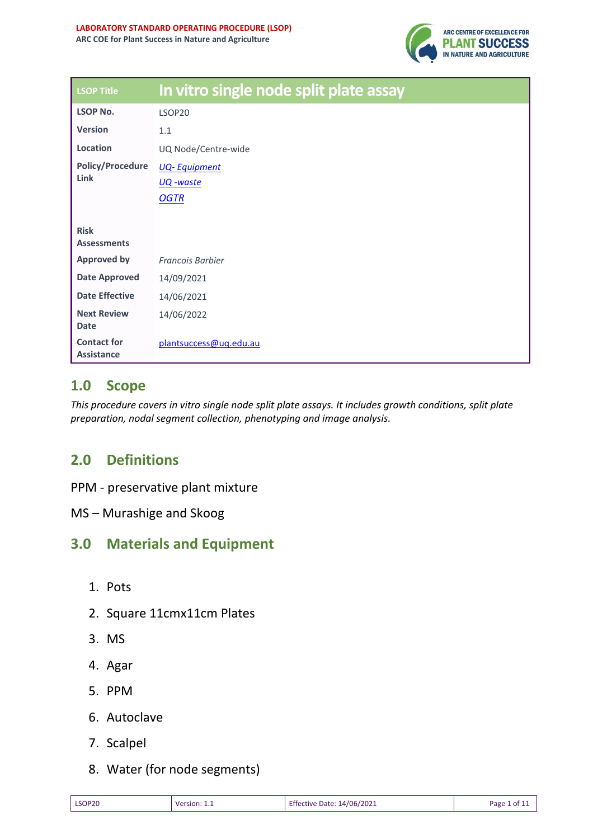

| <b>LSOP Title</b>                       | In vitro single node split plate assay |
|-----------------------------------------|----------------------------------------|
| <b>LSOP No.</b>                         | LSOP20                                 |
| <b>Version</b>                          | 1.1                                    |
| Location                                | UQ Node/Centre-wide                    |
| <b>Policy/Procedure</b>                 | <b>UQ-Equipment</b>                    |
| Link                                    | UQ -waste                              |
|                                         | <b>OGTR</b>                            |
|                                         |                                        |
| <b>Risk</b><br><b>Assessments</b>       |                                        |
| <b>Approved by</b>                      | <b>Francois Barbier</b>                |
| <b>Date Approved</b>                    | 14/09/2021                             |
| <b>Date Effective</b>                   | 14/06/2021                             |
| <b>Next Review</b><br><b>Date</b>       | 14/06/2022                             |
| <b>Contact for</b><br><b>Assistance</b> | plantsuccess@uq.edu.au                 |

# **1.0 Scope**

*This procedure covers in vitro single node split plate assays. It includes growth conditions, split plate preparation, nodal segment collection, phenotyping and image analysis.*

# **2.0 Definitions**

- PPM preservative plant mixture
- MS Murashige and Skoog

# **3.0 Materials and Equipment**

- 1. Pots
- 2. Square 11cmx11cm Plates
- 3. MS
- 4. Agar
- 5. PPM
- 6. Autoclave
- 7. Scalpel
- 8. Water (for node segments)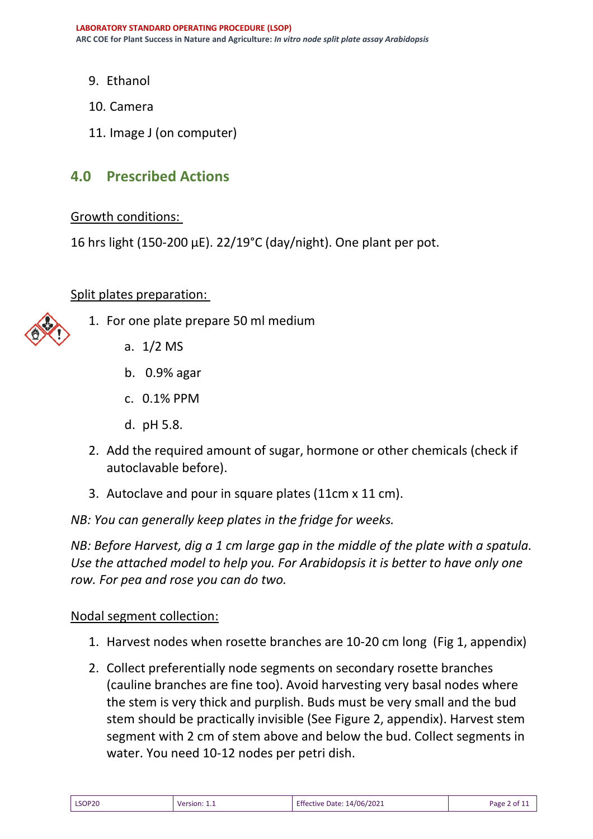- 9. Ethanol
- 10. Camera
- 11. Image J (on computer)

## **4.0 Prescribed Actions**

#### Growth conditions:

16 hrs light (150-200 µE). 22/19°C (day/night). One plant per pot.

### Split plates preparation:



- 1. For one plate prepare 50 ml medium
	- a. 1/2 MS
	- b. 0.9% agar
	- c. 0.1% PPM
	- d. pH 5.8.
	- 2. Add the required amount of sugar, hormone or other chemicals (check if autoclavable before).
	- 3. Autoclave and pour in square plates (11cm x 11 cm).

*NB: You can generally keep plates in the fridge for weeks.*

*NB: Before Harvest, dig a 1 cm large gap in the middle of the plate with a spatula. Use the attached model to help you. For Arabidopsis it is better to have only one row. For pea and rose you can do two.*

### Nodal segment collection:

- 1. Harvest nodes when rosette branches are 10-20 cm long (Fig 1, appendix)
- 2. Collect preferentially node segments on secondary rosette branches (cauline branches are fine too). Avoid harvesting very basal nodes where the stem is very thick and purplish. Buds must be very small and the bud stem should be practically invisible (See Figure 2, appendix). Harvest stem segment with 2 cm of stem above and below the bud. Collect segments in water. You need 10-12 nodes per petri dish.

| LSOP20 | Version: 1.1 | Effective Date: 14/06/2021 | Page 2 of 11 |
|--------|--------------|----------------------------|--------------|
|--------|--------------|----------------------------|--------------|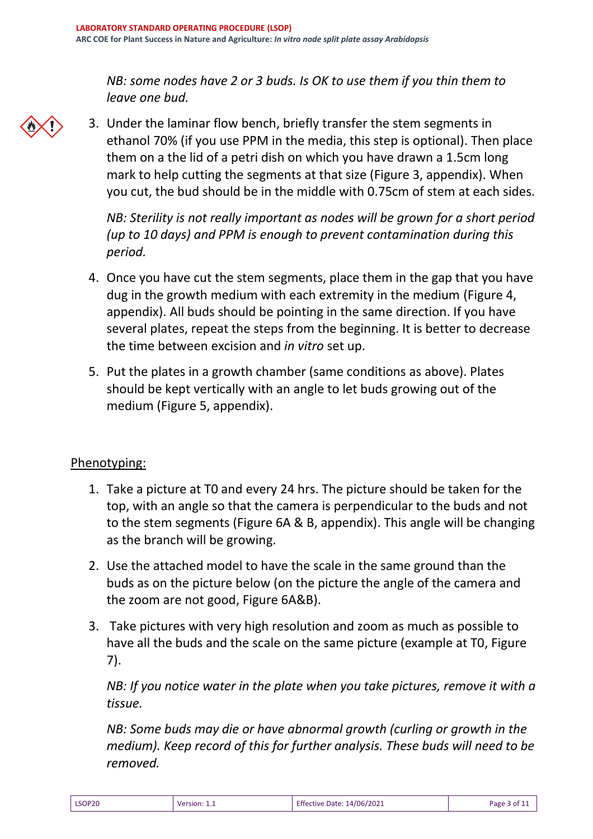*NB: some nodes have 2 or 3 buds. Is OK to use them if you thin them to leave one bud.*

- 
- 3. Under the laminar flow bench, briefly transfer the stem segments in ethanol 70% (if you use PPM in the media, this step is optional). Then place them on a the lid of a petri dish on which you have drawn a 1.5cm long mark to help cutting the segments at that size (Figure 3, appendix). When you cut, the bud should be in the middle with 0.75cm of stem at each sides.

*NB: Sterility is not really important as nodes will be grown for a short period (up to 10 days) and PPM is enough to prevent contamination during this period.*

- 4. Once you have cut the stem segments, place them in the gap that you have dug in the growth medium with each extremity in the medium (Figure 4, appendix). All buds should be pointing in the same direction. If you have several plates, repeat the steps from the beginning. It is better to decrease the time between excision and *in vitro* set up.
- 5. Put the plates in a growth chamber (same conditions as above). Plates should be kept vertically with an angle to let buds growing out of the medium (Figure 5, appendix).

# Phenotyping:

- 1. Take a picture at T0 and every 24 hrs. The picture should be taken for the top, with an angle so that the camera is perpendicular to the buds and not to the stem segments (Figure 6A & B, appendix). This angle will be changing as the branch will be growing.
- 2. Use the attached model to have the scale in the same ground than the buds as on the picture below (on the picture the angle of the camera and the zoom are not good, Figure 6A&B).
- 3. Take pictures with very high resolution and zoom as much as possible to have all the buds and the scale on the same picture (example at T0, Figure 7).

*NB: If you notice water in the plate when you take pictures, remove it with a tissue.* 

*NB: Some buds may die or have abnormal growth (curling or growth in the medium). Keep record of this for further analysis. These buds will need to be removed.*

| <b>LSOP20</b> | Version: 1.1<br>______ | <b>Effective Date: 14/06/2021</b> | Page $3$ of $1.1$ |
|---------------|------------------------|-----------------------------------|-------------------|
|---------------|------------------------|-----------------------------------|-------------------|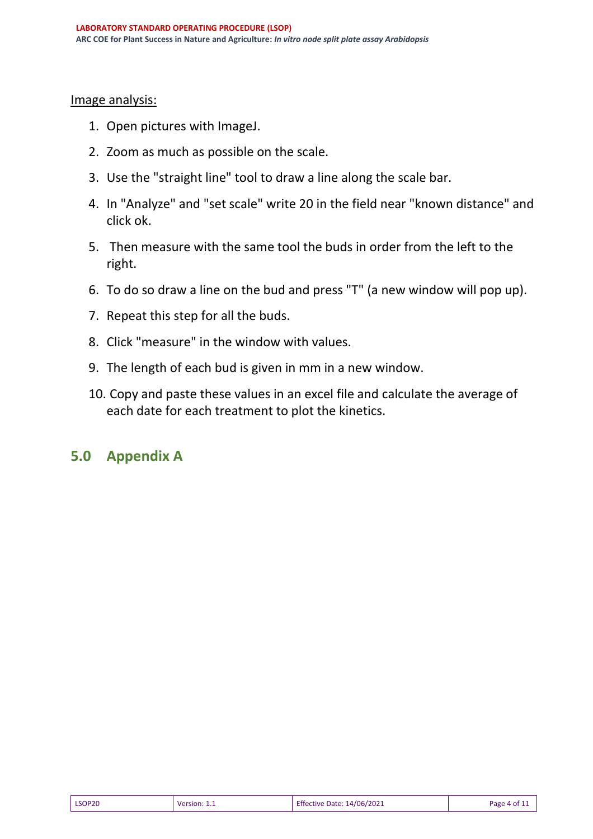#### Image analysis:

- 1. Open pictures with ImageJ.
- 2. Zoom as much as possible on the scale.
- 3. Use the "straight line" tool to draw a line along the scale bar.
- 4. In "Analyze" and "set scale" write 20 in the field near "known distance" and click ok.
- 5. Then measure with the same tool the buds in order from the left to the right.
- 6. To do so draw a line on the bud and press "T" (a new window will pop up).
- 7. Repeat this step for all the buds.
- 8. Click "measure" in the window with values.
- 9. The length of each bud is given in mm in a new window.
- 10. Copy and paste these values in an excel file and calculate the average of each date for each treatment to plot the kinetics.

# **5.0 Appendix A**

| LSOP20 | Version: 1.1 | Effective Date: 14/06/2021 | Page 4 of $11$ |
|--------|--------------|----------------------------|----------------|
|--------|--------------|----------------------------|----------------|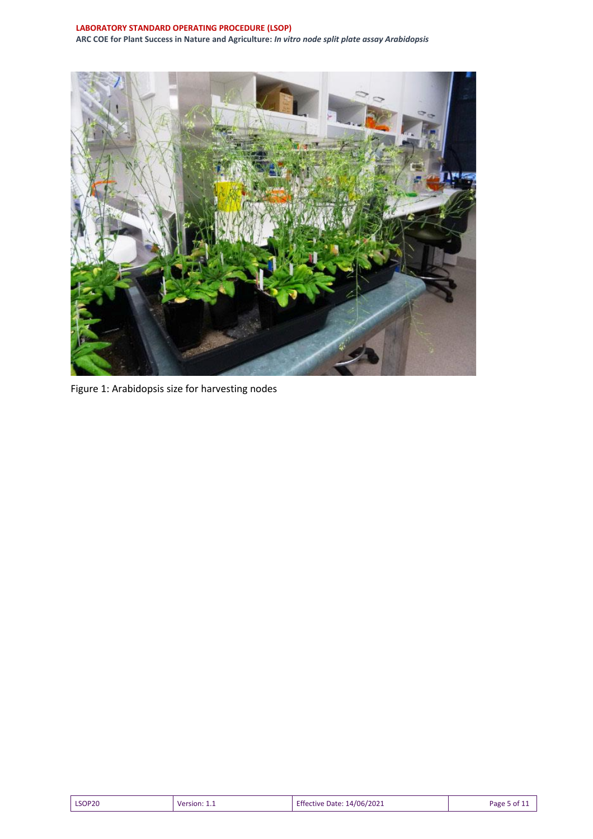#### **LABORATORY STANDARD OPERATING PROCEDURE (LSOP) ARC COE for Plant Success in Nature and Agriculture:** *In vitro node split plate assay Arabidopsis*



Figure 1: Arabidopsis size for harvesting nodes

| LSOP20<br>Version: 1.1<br>_______ | Effective Date: 14/06/2021 | Page 5 of : |
|-----------------------------------|----------------------------|-------------|
|-----------------------------------|----------------------------|-------------|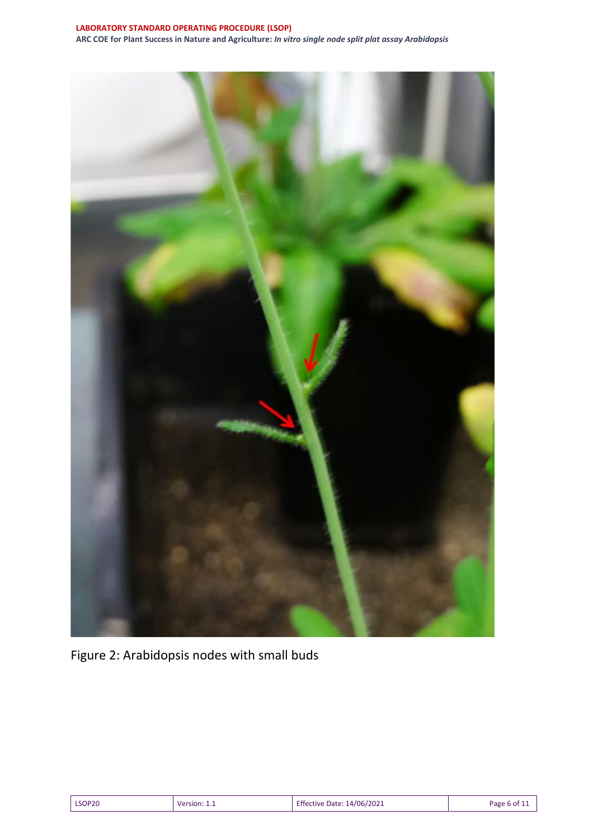

Figure 2: Arabidopsis nodes with small buds

| LSOP20 | Version: 1.1 | Effective Date: 14/06/2021 | Page 6 of 11 |
|--------|--------------|----------------------------|--------------|
|--------|--------------|----------------------------|--------------|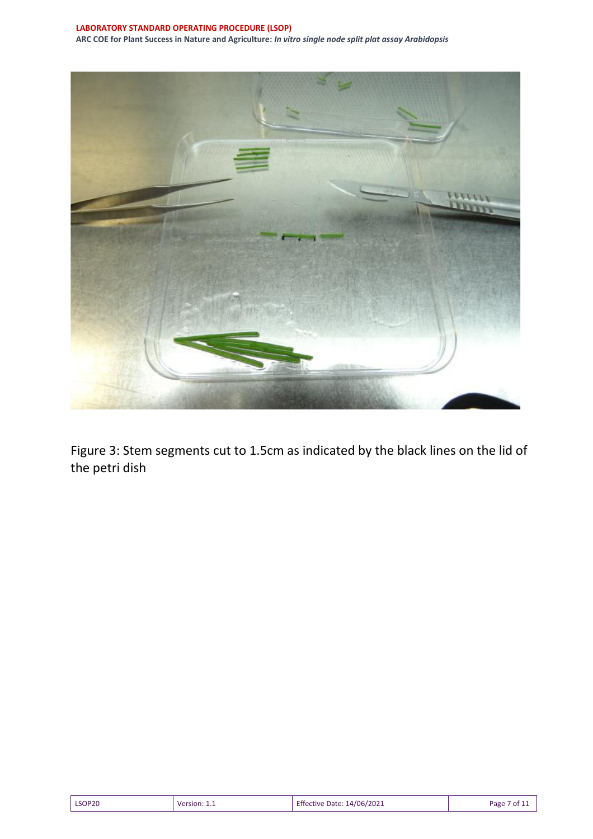

Figure 3: Stem segments cut to 1.5cm as indicated by the black lines on the lid of the petri dish

| LSOP20 | <b>Version: 1.</b> | Effective Date: 14/06/2021 | Page 7 of 11 |
|--------|--------------------|----------------------------|--------------|
|--------|--------------------|----------------------------|--------------|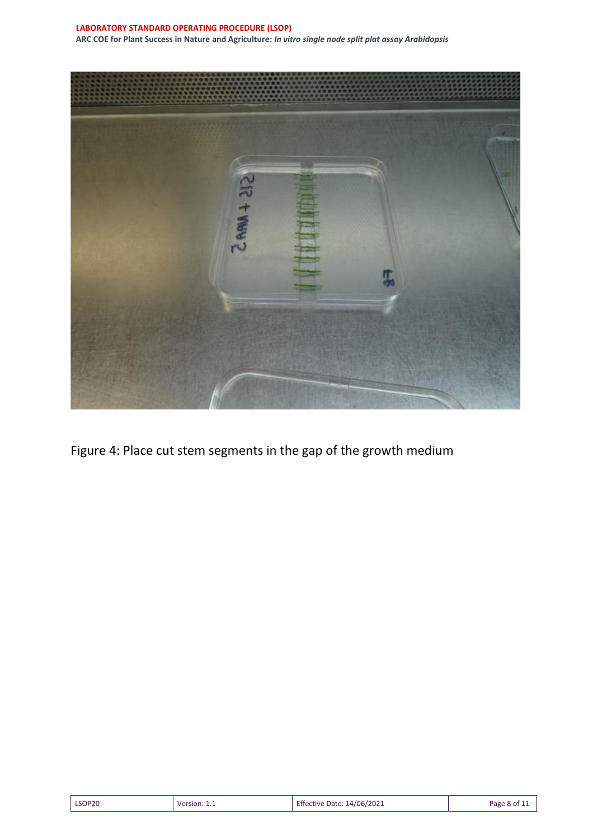**LABORATORY STANDARD OPERATING PROCEDURE (LSOP) ARC COE for Plant Success in Nature and Agriculture:** *In vitro single node split plat assay Arabidopsis* 



Figure 4: Place cut stem segments in the gap of the growth medium

| LSOP20<br>$\sqrt{2}$ Version: 1.1 | <b>Effective Date: 14/06/2021</b> | Page 8 of $\overline{1}$ . |
|-----------------------------------|-----------------------------------|----------------------------|
|-----------------------------------|-----------------------------------|----------------------------|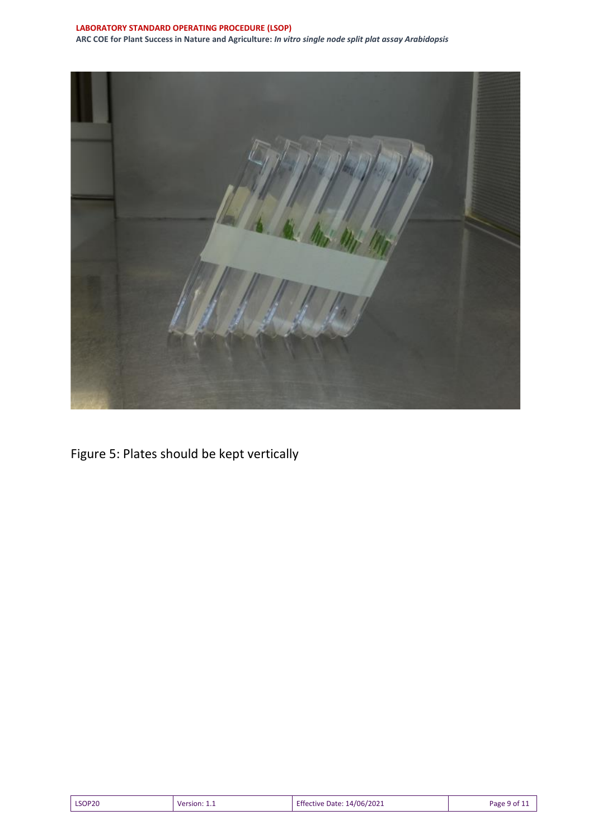#### **LABORATORY STANDARD OPERATING PROCEDURE (LSOP) ARC COE for Plant Success in Nature and Agriculture:** *In vitro single node split plat assay Arabidopsis*



Figure 5: Plates should be kept vertically

| LSOP20<br>$\sqrt{2}$ Version: 1.1 | <b>Effective Date: 14/06/2021</b><br>Page 9 of $1$ . |
|-----------------------------------|------------------------------------------------------|
|-----------------------------------|------------------------------------------------------|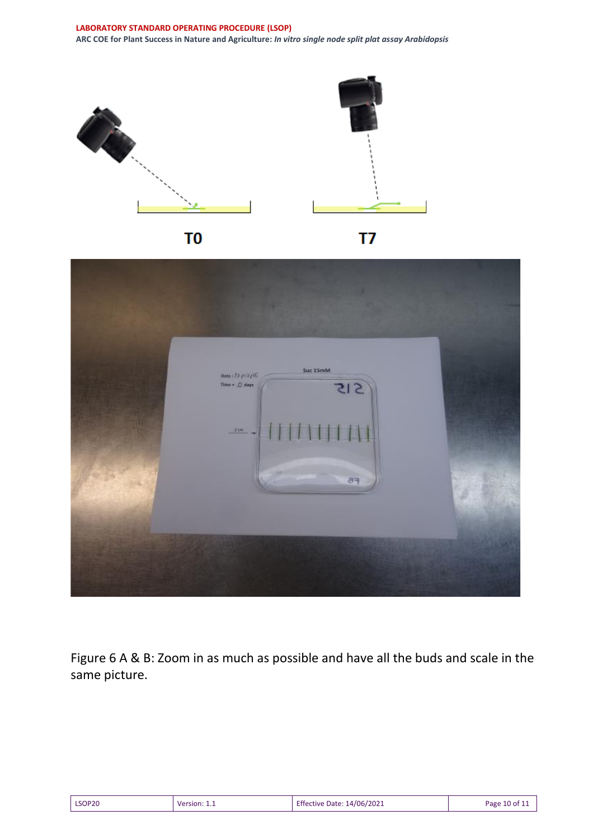



Figure 6 A & B: Zoom in as much as possible and have all the buds and scale in the same picture.

| LSOP20 | Version: 1.1 | <b>Effective Date: 14/06/2021</b> | Page 10 of 11 |
|--------|--------------|-----------------------------------|---------------|
|--------|--------------|-----------------------------------|---------------|